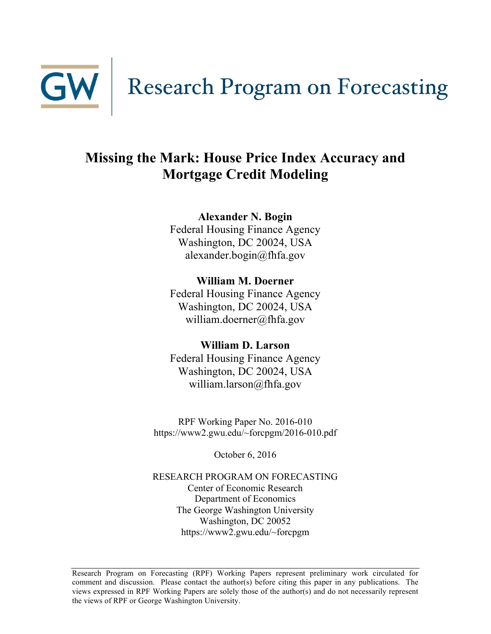

# **Missing the Mark: House Price Index Accuracy and Mortgage Credit Modeling**

**Alexander N. Bogin**

Federal Housing Finance Agency Washington, DC 20024, USA alexander.bogin@fhfa.gov

**William M. Doerner** Federal Housing Finance Agency Washington, DC 20024, USA william.doerner@fhfa.gov

## **William D. Larson**

Federal Housing Finance Agency Washington, DC 20024, USA william.larson@fhfa.gov

RPF Working Paper No. 2016-010 https://www2.gwu.edu/~forcpgm/2016-010.pdf

October 6, 2016

RESEARCH PROGRAM ON FORECASTING Center of Economic Research Department of Economics The George Washington University Washington, DC 20052 https://www2.gwu.edu/~forcpgm

Research Program on Forecasting (RPF) Working Papers represent preliminary work circulated for comment and discussion. Please contact the author(s) before citing this paper in any publications. The views expressed in RPF Working Papers are solely those of the author(s) and do not necessarily represent the views of RPF or George Washington University.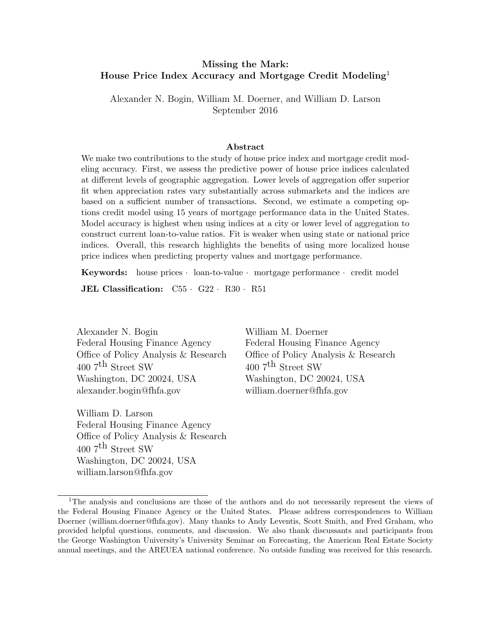#### <span id="page-1-0"></span>Missing the Mark: House Price Index Accuracy and Mortgage Credit Modeling<sup>1</sup>

Alexander N. Bogin, William M. Doerner, and William D. Larson September 2016

#### Abstract

We make two contributions to the study of house price index and mortgage credit modeling accuracy. First, we assess the predictive power of house price indices calculated at different levels of geographic aggregation. Lower levels of aggregation offer superior fit when appreciation rates vary substantially across submarkets and the indices are based on a sufficient number of transactions. Second, we estimate a competing options credit model using 15 years of mortgage performance data in the United States. Model accuracy is highest when using indices at a city or lower level of aggregation to construct current loan-to-value ratios. Fit is weaker when using state or national price indices. Overall, this research highlights the benefits of using more localized house price indices when predicting property values and mortgage performance.

Keywords: house prices *·* loan-to-value *·* mortgage performance *·* credit model

JEL Classification: C55 *·* G22 *·* R30 *·* R51

Alexander N. Bogin William M. Doerner Federal Housing Finance Agency Office of Policy Analysis & Research  $4007^{\text{th}}$  Street SW Washington, DC 20024, USA [alexander.bogin@fhfa.gov](mailto:alexander.bogin@fhfa.gov)

William D. Larson Federal Housing Finance Agency Office of Policy Analysis & Research 400 7th Street SW Washington, DC 20024, USA [william.larson@fhfa.gov](mailto:william.larson@fhfa.gov)

Federal Housing Finance Agency Office of Policy Analysis & Research  $4007^{\text{th}}$  Street SW Washington, DC 20024, USA [william.doerner@fhfa.gov](mailto:william.doerner@fhfa.gov)

<sup>1</sup>The analysis and conclusions are those of the authors and do not necessarily represent the views of the Federal Housing Finance Agency or the United States. Please address correspondences to William Doerner (william.doerner@fhfa.gov). Many thanks to Andy Leventis, Scott Smith, and Fred Graham, who provided helpful questions, comments, and discussion. We also thank discussants and participants from the George Washington University's University Seminar on Forecasting, the American Real Estate Society annual meetings, and the AREUEA national conference. No outside funding was received for this research.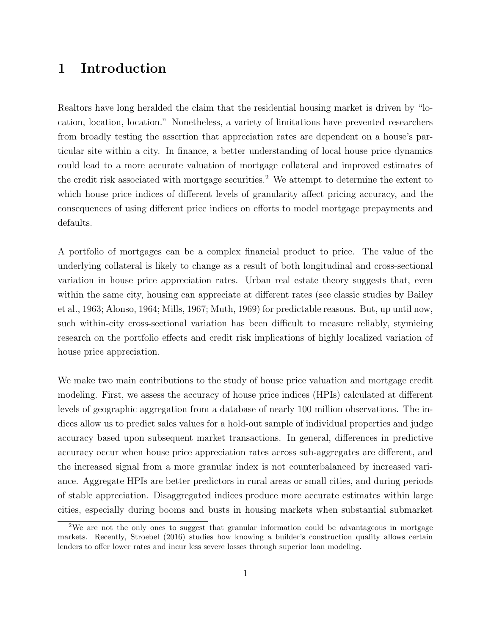### 1 Introduction

Realtors have long heralded the claim that the residential housing market is driven by "location, location, location." Nonetheless, a variety of limitations have prevented researchers from broadly testing the assertion that appreciation rates are dependent on a house's particular site within a city. In finance, a better understanding of local house price dynamics could lead to a more accurate valuation of mortgage collateral and improved estimates of the credit risk associated with mortgage securities.<sup>[2](#page-1-0)</sup> We attempt to determine the extent to which house price indices of different levels of granularity affect pricing accuracy, and the consequences of using different price indices on efforts to model mortgage prepayments and defaults.

A portfolio of mortgages can be a complex financial product to price. The value of the underlying collateral is likely to change as a result of both longitudinal and cross-sectional variation in house price appreciation rates. Urban real estate theory suggests that, even within the same city, housing can appreciate at different rates (see classic studies by [Bailey](#page-23-0) [et al., 1963;](#page-23-0) [Alonso, 1964;](#page-23-1) [Mills, 1967;](#page-24-0) [Muth, 1969\)](#page-24-1) for predictable reasons. But, up until now, such within-city cross-sectional variation has been difficult to measure reliably, stymieing research on the portfolio effects and credit risk implications of highly localized variation of house price appreciation.

We make two main contributions to the study of house price valuation and mortgage credit modeling. First, we assess the accuracy of house price indices (HPIs) calculated at different levels of geographic aggregation from a database of nearly 100 million observations. The indices allow us to predict sales values for a hold-out sample of individual properties and judge accuracy based upon subsequent market transactions. In general, differences in predictive accuracy occur when house price appreciation rates across sub-aggregates are different, and the increased signal from a more granular index is not counterbalanced by increased variance. Aggregate HPIs are better predictors in rural areas or small cities, and during periods of stable appreciation. Disaggregated indices produce more accurate estimates within large cities, especially during booms and busts in housing markets when substantial submarket

<sup>&</sup>lt;sup>2</sup>We are not the only ones to suggest that granular information could be advantageous in mortgage markets. Recently, [Stroebel](#page-25-0) [\(2016\)](#page-25-0) studies how knowing a builder's construction quality allows certain lenders to offer lower rates and incur less severe losses through superior loan modeling.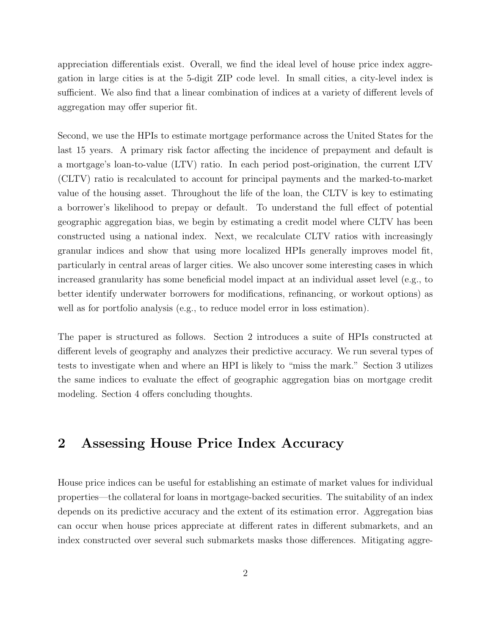appreciation differentials exist. Overall, we find the ideal level of house price index aggregation in large cities is at the 5-digit ZIP code level. In small cities, a city-level index is sufficient. We also find that a linear combination of indices at a variety of different levels of aggregation may offer superior fit.

Second, we use the HPIs to estimate mortgage performance across the United States for the last 15 years. A primary risk factor affecting the incidence of prepayment and default is a mortgage's loan-to-value (LTV) ratio. In each period post-origination, the current LTV (CLTV) ratio is recalculated to account for principal payments and the marked-to-market value of the housing asset. Throughout the life of the loan, the CLTV is key to estimating a borrower's likelihood to prepay or default. To understand the full effect of potential geographic aggregation bias, we begin by estimating a credit model where CLTV has been constructed using a national index. Next, we recalculate CLTV ratios with increasingly granular indices and show that using more localized HPIs generally improves model fit, particularly in central areas of larger cities. We also uncover some interesting cases in which increased granularity has some beneficial model impact at an individual asset level (e.g., to better identify underwater borrowers for modifications, refinancing, or workout options) as well as for portfolio analysis (e.g., to reduce model error in loss estimation).

The paper is structured as follows. Section 2 introduces a suite of HPIs constructed at different levels of geography and analyzes their predictive accuracy. We run several types of tests to investigate when and where an HPI is likely to "miss the mark." Section 3 utilizes the same indices to evaluate the effect of geographic aggregation bias on mortgage credit modeling. Section 4 offers concluding thoughts.

### 2 Assessing House Price Index Accuracy

House price indices can be useful for establishing an estimate of market values for individual properties—the collateral for loans in mortgage-backed securities. The suitability of an index depends on its predictive accuracy and the extent of its estimation error. Aggregation bias can occur when house prices appreciate at different rates in different submarkets, and an index constructed over several such submarkets masks those differences. Mitigating aggre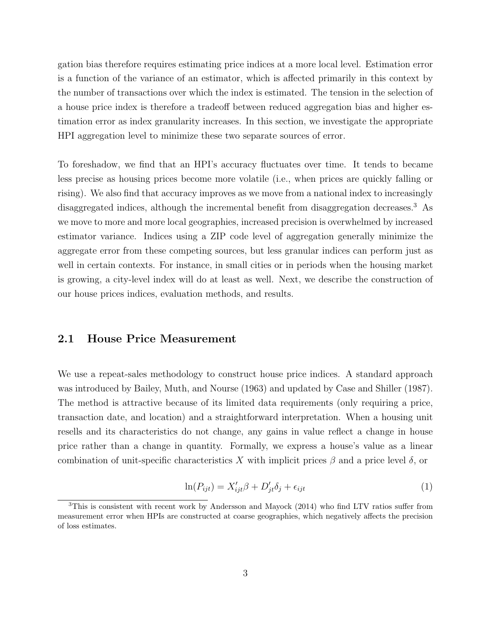gation bias therefore requires estimating price indices at a more local level. Estimation error is a function of the variance of an estimator, which is affected primarily in this context by the number of transactions over which the index is estimated. The tension in the selection of a house price index is therefore a tradeoff between reduced aggregation bias and higher estimation error as index granularity increases. In this section, we investigate the appropriate HPI aggregation level to minimize these two separate sources of error.

To foreshadow, we find that an HPI's accuracy fluctuates over time. It tends to became less precise as housing prices become more volatile (i.e., when prices are quickly falling or rising). We also find that accuracy improves as we move from a national index to increasingly disaggregated indices, although the incremental benefit from disaggregation decreases.[3](#page-1-0) As we move to more and more local geographies, increased precision is overwhelmed by increased estimator variance. Indices using a ZIP code level of aggregation generally minimize the aggregate error from these competing sources, but less granular indices can perform just as well in certain contexts. For instance, in small cities or in periods when the housing market is growing, a city-level index will do at least as well. Next, we describe the construction of our house prices indices, evaluation methods, and results.

#### 2.1 House Price Measurement

We use a repeat-sales methodology to construct house price indices. A standard approach was introduced by Bailey, Muth, and Nourse (1963) and updated by [Case and Shiller](#page-23-2) [\(1987\)](#page-23-2). The method is attractive because of its limited data requirements (only requiring a price, transaction date, and location) and a straightforward interpretation. When a housing unit resells and its characteristics do not change, any gains in value reflect a change in house price rather than a change in quantity. Formally, we express a house's value as a linear combination of unit-specific characteristics X with implicit prices  $\beta$  and a price level  $\delta$ , or

$$
\ln(P_{ijt}) = X'_{ijt}\beta + D'_{jt}\delta_j + \epsilon_{ijt}
$$
\n<sup>(1)</sup>

 $3$ This is consistent with recent work by [Andersson and Mayock](#page-23-3) [\(2014\)](#page-23-3) who find LTV ratios suffer from measurement error when HPIs are constructed at coarse geographies, which negatively affects the precision of loss estimates.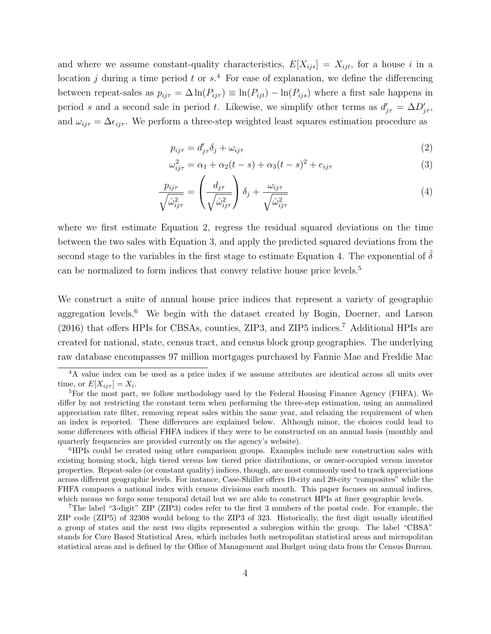and where we assume constant-quality characteristics,  $E[X_{ijs}] = X_{ijt}$ , for a house *i* in a location *j* during a time period *t* or  $s^4$  $s^4$ . For ease of explanation, we define the differencing between repeat-sales as  $p_{ij\tau} = \Delta \ln(P_{ij\tau}) \equiv \ln(P_{ijt}) - \ln(P_{ijs})$  where a first sale happens in period *s* and a second sale in period *t*. Likewise, we simplify other terms as  $d'_{j\tau} = \Delta D'_{j\tau}$ , and  $\omega_{ij\tau} = \Delta \epsilon_{ij\tau}$ . We perform a three-step weighted least squares estimation procedure as

<span id="page-5-2"></span><span id="page-5-1"></span><span id="page-5-0"></span>
$$
p_{ij\tau} = d'_{j\tau} \delta_j + \omega_{ij\tau}
$$
\n<sup>(2)</sup>

$$
\omega_{ij\tau}^2 = \alpha_1 + \alpha_2(t-s) + \alpha_3(t-s)^2 + e_{ij\tau}
$$
\n(3)

$$
\frac{p_{ij\tau}}{\sqrt{\hat{\omega}_{ij\tau}^2}} = \left(\frac{d_{j\tau}}{\sqrt{\hat{\omega}_{ij\tau}^2}}\right)\delta_j + \frac{\omega_{ij\tau}}{\sqrt{\hat{\omega}_{ij\tau}^2}}
$$
(4)

where we first estimate Equation [2,](#page-5-0) regress the residual squared deviations on the time between the two sales with Equation [3,](#page-5-1) and apply the predicted squared deviations from the second stage to the variables in the first stage to estimate Equation [4.](#page-5-2) The exponential of  $\delta$ can be normalized to form indices that convey relative house price levels.<sup>[5](#page-1-0)</sup>

We construct a suite of annual house price indices that represent a variety of geographic aggregation levels.<sup>[6](#page-1-0)</sup> We begin with the dataset created by Bogin, Doerner, and Larson  $(2016)$  that offers HPIs for CBSAs, counties, ZIP3, and ZIP5 indices.<sup>[7](#page-1-0)</sup> Additional HPIs are created for national, state, census tract, and census block group geographies. The underlying raw database encompasses 97 million mortgages purchased by Fannie Mae and Freddie Mac

<sup>4</sup>A value index can be used as a price index if we assume attributes are identical across all units over time, or  $E[X_{ij\tau}] = X_i$ .<br><sup>5</sup>For the most part, we follow methodology used by the Federal Housing Finance Agency (FHFA). We

differ by not restricting the constant term when performing the three-step estimation, using an annualized appreciation rate filter, removing repeat sales within the same year, and relaxing the requirement of when an index is reported. These differences are explained below. Although minor, the choices could lead to some differences with official FHFA indices if they were to be constructed on an annual basis (monthly and quarterly frequencies are provided currently on the agency's website).

<sup>&</sup>lt;sup>6</sup>HPIs could be created using other comparison groups. Examples include new construction sales with existing housing stock, high tiered versus low tiered price distributions, or owner-occupied versus investor properties. Repeat-sales (or constant quality) indices, though, are most commonly used to track appreciations across different geographic levels. For instance, Case-Shiller offers 10-city and 20-city "composites" while the FHFA compares a national index with census divisions each month. This paper focuses on annual indices, which means we forgo some temporal detail but we are able to construct HPIs at finer geographic levels.

<sup>7</sup>The label "3-digit" ZIP (ZIP3) codes refer to the first 3 numbers of the postal code. For example, the ZIP code (ZIP5) of 32308 would belong to the ZIP3 of 323. Historically, the first digit usually identified a group of states and the next two digits represented a subregion within the group. The label "CBSA" stands for Core Based Statistical Area, which includes both metropolitan statistical areas and micropolitan statistical areas and is defined by the Office of Management and Budget using data from the Census Bureau.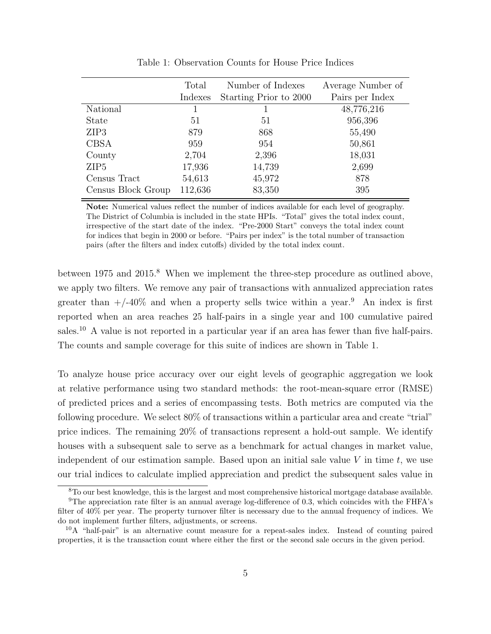<span id="page-6-0"></span>

|                    | Total<br>Indexes | Number of Indexes<br>Starting Prior to 2000 | Average Number of<br>Pairs per Index |  |
|--------------------|------------------|---------------------------------------------|--------------------------------------|--|
| National           |                  |                                             | 48,776,216                           |  |
| <b>State</b>       | 51               | 51                                          | 956,396                              |  |
| ZIP <sub>3</sub>   | 879              | 868                                         | 55,490                               |  |
| <b>CBSA</b>        | 959              | 954                                         | 50,861                               |  |
| County             | 2,704            | 2,396                                       | 18,031                               |  |
| ZIP <sub>5</sub>   | 17,936           | 14,739                                      | 2,699                                |  |
| Census Tract       | 54,613           | 45,972                                      | 878                                  |  |
| Census Block Group | 112,636          | 83,350                                      | 395                                  |  |
|                    |                  |                                             |                                      |  |

Table 1: Observation Counts for House Price Indices

Note: Numerical values reflect the number of indices available for each level of geography. The District of Columbia is included in the state HPIs. "Total" gives the total index count, irrespective of the start date of the index. "Pre-2000 Start" conveys the total index count for indices that begin in 2000 or before. "Pairs per index" is the total number of transaction pairs (after the filters and index cutoffs) divided by the total index count.

between 1975 and 2015.<sup>[8](#page-1-0)</sup> When we implement the three-step procedure as outlined above, we apply two filters. We remove any pair of transactions with annualized appreciation rates greater than  $+/-40\%$  and when a property sells twice within a year.<sup>[9](#page-1-0)</sup> An index is first reported when an area reaches 25 half-pairs in a single year and 100 cumulative paired sales.[10](#page-1-0) A value is not reported in a particular year if an area has fewer than five half-pairs. The counts and sample coverage for this suite of indices are shown in Table [1.](#page-6-0)

To analyze house price accuracy over our eight levels of geographic aggregation we look at relative performance using two standard methods: the root-mean-square error (RMSE) of predicted prices and a series of encompassing tests. Both metrics are computed via the following procedure. We select 80% of transactions within a particular area and create "trial" price indices. The remaining 20% of transactions represent a hold-out sample. We identify houses with a subsequent sale to serve as a benchmark for actual changes in market value, independent of our estimation sample. Based upon an initial sale value *V* in time *t*, we use our trial indices to calculate implied appreciation and predict the subsequent sales value in

<sup>8</sup>To our best knowledge, this is the largest and most comprehensive historical mortgage database available.

 $9$ The appreciation rate filter is an annual average log-difference of 0.3, which coincides with the FHFA's filter of 40% per year. The property turnover filter is necessary due to the annual frequency of indices. We do not implement further filters, adjustments, or screens.

 $10$ A "half-pair" is an alternative count measure for a repeat-sales index. Instead of counting paired properties, it is the transaction count where either the first or the second sale occurs in the given period.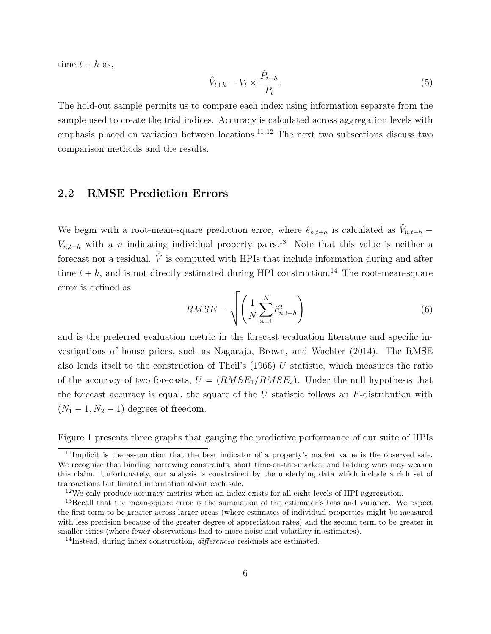time  $t + h$  as,

$$
\hat{V}_{t+h} = V_t \times \frac{\hat{P}_{t+h}}{\hat{P}_t}.\tag{5}
$$

The hold-out sample permits us to compare each index using information separate from the sample used to create the trial indices. Accuracy is calculated across aggregation levels with emphasis placed on variation between locations.[11](#page-1-0)*,*[12](#page-1-0) The next two subsections discuss two comparison methods and the results.

#### 2.2 RMSE Prediction Errors

We begin with a root-mean-square prediction error, where  $\hat{e}_{n,t+h}$  is calculated as  $\hat{V}_{n,t+h}$  $V_{n,t+h}$  with a *n* indicating individual property pairs.<sup>[13](#page-1-0)</sup> Note that this value is neither a forecast nor a residual.  $\hat{V}$  is computed with HPIs that include information during and after time  $t + h$ , and is not directly estimated during HPI construction.<sup>[14](#page-1-0)</sup> The root-mean-square error is defined as

$$
RMSE = \sqrt{\left(\frac{1}{N} \sum_{n=1}^{N} \hat{e}_{n,t+h}^{2}\right)}
$$
(6)

and is the preferred evaluation metric in the forecast evaluation literature and specific investigations of house prices, such as Nagaraja, Brown, and Wachter (2014). The RMSE also lends itself to the construction of Theil's (1966) *U* statistic, which measures the ratio of the accuracy of two forecasts,  $U = (RMSE_1/RMSE_2)$ . Under the null hypothesis that the forecast accuracy is equal, the square of the *U* statistic follows an *F*-distribution with  $(N_1 - 1, N_2 - 1)$  degrees of freedom.

Figure [1](#page-8-0) presents three graphs that gauging the predictive performance of our suite of HPIs

<sup>&</sup>lt;sup>11</sup>Implicit is the assumption that the best indicator of a property's market value is the observed sale. We recognize that binding borrowing constraints, short time-on-the-market, and bidding wars may weaken this claim. Unfortunately, our analysis is constrained by the underlying data which include a rich set of transactions but limited information about each sale.

<sup>&</sup>lt;sup>12</sup>We only produce accuracy metrics when an index exists for all eight levels of HPI aggregation.

<sup>&</sup>lt;sup>13</sup>Recall that the mean-square error is the summation of the estimator's bias and variance. We expect the first term to be greater across larger areas (where estimates of individual properties might be measured with less precision because of the greater degree of appreciation rates) and the second term to be greater in smaller cities (where fewer observations lead to more noise and volatility in estimates).

<sup>&</sup>lt;sup>14</sup>Instead, during index construction, *differenced* residuals are estimated.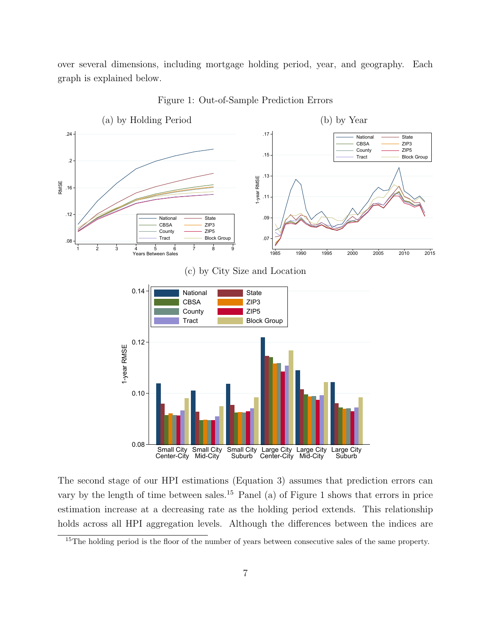over several dimensions, including mortgage holding period, year, and geography. Each graph is explained below.

<span id="page-8-0"></span>

Figure 1: Out-of-Sample Prediction Errors

The second stage of our HPI estimations (Equation [3\)](#page-5-1) assumes that prediction errors can vary by the length of time between sales.[15](#page-1-0) Panel (a) of Figure [1](#page-8-0) shows that errors in price estimation increase at a decreasing rate as the holding period extends. This relationship holds across all HPI aggregation levels. Although the differences between the indices are

<sup>&</sup>lt;sup>15</sup>The holding period is the floor of the number of years between consecutive sales of the same property.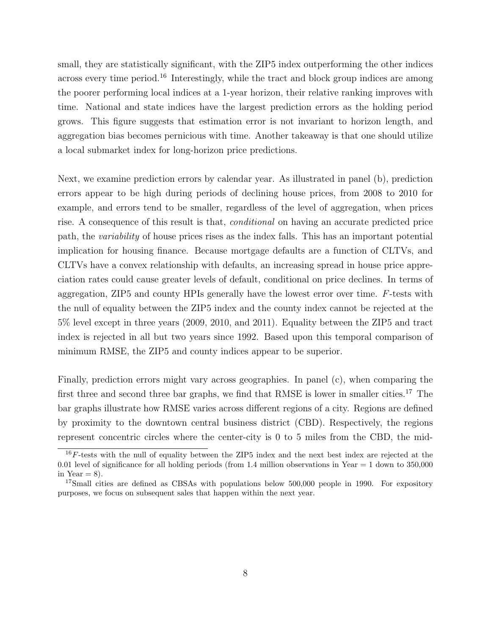small, they are statistically significant, with the ZIP5 index outperforming the other indices across every time period.<sup>[16](#page-1-0)</sup> Interestingly, while the tract and block group indices are among the poorer performing local indices at a 1-year horizon, their relative ranking improves with time. National and state indices have the largest prediction errors as the holding period grows. This figure suggests that estimation error is not invariant to horizon length, and aggregation bias becomes pernicious with time. Another takeaway is that one should utilize a local submarket index for long-horizon price predictions.

Next, we examine prediction errors by calendar year. As illustrated in panel (b), prediction errors appear to be high during periods of declining house prices, from 2008 to 2010 for example, and errors tend to be smaller, regardless of the level of aggregation, when prices rise. A consequence of this result is that, *conditional* on having an accurate predicted price path, the *variability* of house prices rises as the index falls. This has an important potential implication for housing finance. Because mortgage defaults are a function of CLTVs, and CLTVs have a convex relationship with defaults, an increasing spread in house price appreciation rates could cause greater levels of default, conditional on price declines. In terms of aggregation, ZIP5 and county HPIs generally have the lowest error over time. *F*-tests with the null of equality between the ZIP5 index and the county index cannot be rejected at the 5% level except in three years (2009, 2010, and 2011). Equality between the ZIP5 and tract index is rejected in all but two years since 1992. Based upon this temporal comparison of minimum RMSE, the ZIP5 and county indices appear to be superior.

Finally, prediction errors might vary across geographies. In panel (c), when comparing the first three and second three bar graphs, we find that RMSE is lower in smaller cities.<sup>[17](#page-1-0)</sup> The bar graphs illustrate how RMSE varies across different regions of a city. Regions are defined by proximity to the downtown central business district (CBD). Respectively, the regions represent concentric circles where the center-city is 0 to 5 miles from the CBD, the mid-

<sup>&</sup>lt;sup>16</sup>F-tests with the null of equality between the ZIP5 index and the next best index are rejected at the 0.01 level of significance for all holding periods (from 1.4 million observations in Year  $= 1$  down to 350,000 in Year  $= 8$ ).

<sup>&</sup>lt;sup>17</sup>Small cities are defined as CBSAs with populations below 500,000 people in 1990. For expository purposes, we focus on subsequent sales that happen within the next year.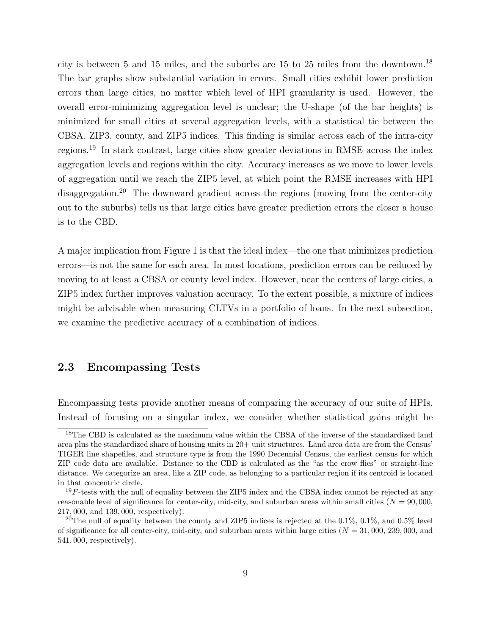city is between 5 and 15 miles, and the suburbs are 15 to 25 miles from the downtown.<sup>[18](#page-1-0)</sup> The bar graphs show substantial variation in errors. Small cities exhibit lower prediction errors than large cities, no matter which level of HPI granularity is used. However, the overall error-minimizing aggregation level is unclear; the U-shape (of the bar heights) is minimized for small cities at several aggregation levels, with a statistical tie between the CBSA, ZIP3, county, and ZIP5 indices. This finding is similar across each of the intra-city regions.[19](#page-1-0) In stark contrast, large cities show greater deviations in RMSE across the index aggregation levels and regions within the city. Accuracy increases as we move to lower levels of aggregation until we reach the ZIP5 level, at which point the RMSE increases with HPI disaggregation.<sup>[20](#page-1-0)</sup> The downward gradient across the regions (moving from the center-city out to the suburbs) tells us that large cities have greater prediction errors the closer a house is to the CBD.

A major implication from Figure [1](#page-8-0) is that the ideal index—the one that minimizes prediction errors—is not the same for each area. In most locations, prediction errors can be reduced by moving to at least a CBSA or county level index. However, near the centers of large cities, a ZIP5 index further improves valuation accuracy. To the extent possible, a mixture of indices might be advisable when measuring CLTVs in a portfolio of loans. In the next subsection, we examine the predictive accuracy of a combination of indices.

#### 2.3 Encompassing Tests

Encompassing tests provide another means of comparing the accuracy of our suite of HPIs. Instead of focusing on a singular index, we consider whether statistical gains might be

<sup>&</sup>lt;sup>18</sup>The CBD is calculated as the maximum value within the CBSA of the inverse of the standardized land area plus the standardized share of housing units in 20+ unit structures. Land area data are from the Census' TIGER line shapefiles, and structure type is from the 1990 Decennial Census, the earliest census for which ZIP code data are available. Distance to the CBD is calculated as the "as the crow flies" or straight-line distance. We categorize an area, like a ZIP code, as belonging to a particular region if its centroid is located in that concentric circle.

 $19F$ -tests with the null of equality between the ZIP5 index and the CBSA index cannot be rejected at any reasonable level of significance for center-city, mid-city, and suburban areas within small cities (*N* = 90*,* 000, 217*,* 000, and 139*,* 000, respectively).

<sup>&</sup>lt;sup>20</sup>The null of equality between the county and ZIP5 indices is rejected at the  $0.1\%$ ,  $0.1\%$ , and  $0.5\%$  level of significance for all center-city, mid-city, and suburban areas within large cities (*N* = 31*,* 000, 239*,* 000, and 541*,* 000, respectively).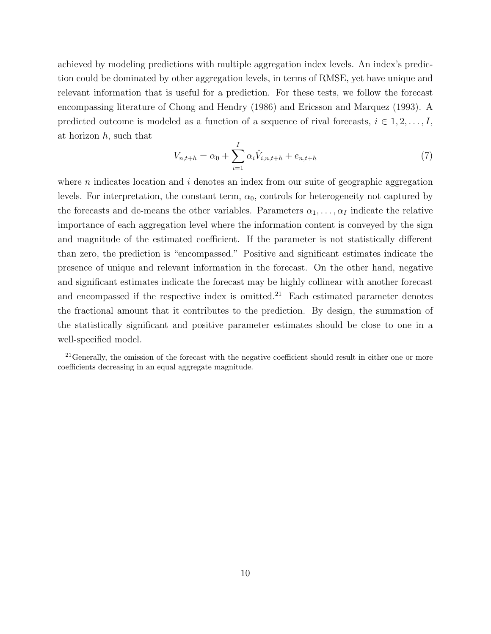achieved by modeling predictions with multiple aggregation index levels. An index's prediction could be dominated by other aggregation levels, in terms of RMSE, yet have unique and relevant information that is useful for a prediction. For these tests, we follow the forecast encompassing literature of [Chong and Hendry](#page-23-4) [\(1986\)](#page-23-4) and [Ericsson and Marquez](#page-24-2) [\(1993\)](#page-24-2). A predicted outcome is modeled as a function of a sequence of rival forecasts,  $i \in 1, 2, \ldots, I$ , at horizon *h*, such that

<span id="page-11-0"></span>
$$
V_{n,t+h} = \alpha_0 + \sum_{i=1}^{I} \alpha_i \hat{V}_{i,n,t+h} + e_{n,t+h}
$$
\n(7)

where *n* indicates location and *i* denotes an index from our suite of geographic aggregation levels. For interpretation, the constant term,  $\alpha_0$ , controls for heterogeneity not captured by the forecasts and de-means the other variables. Parameters  $\alpha_1, \ldots, \alpha_I$  indicate the relative importance of each aggregation level where the information content is conveyed by the sign and magnitude of the estimated coefficient. If the parameter is not statistically different than zero, the prediction is "encompassed." Positive and significant estimates indicate the presence of unique and relevant information in the forecast. On the other hand, negative and significant estimates indicate the forecast may be highly collinear with another forecast and encompassed if the respective index is omitted. $21$  Each estimated parameter denotes the fractional amount that it contributes to the prediction. By design, the summation of the statistically significant and positive parameter estimates should be close to one in a well-specified model.

 $21$ Generally, the omission of the forecast with the negative coefficient should result in either one or more coefficients decreasing in an equal aggregate magnitude.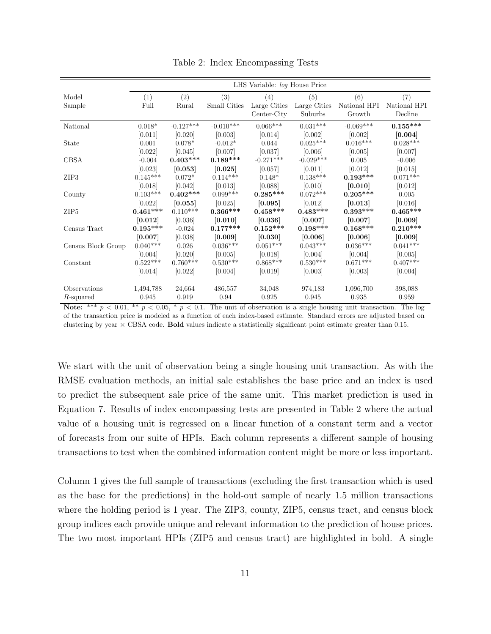<span id="page-12-0"></span>

|                    | LHS Variable: log House Price |             |                 |                 |                 |              |              |  |
|--------------------|-------------------------------|-------------|-----------------|-----------------|-----------------|--------------|--------------|--|
| Model              | (1)                           | (2)         | (3)             | (4)             | (5)             | (6)          | (7)          |  |
| Sample             | Full                          | Rural       | Small Cities    | Large Cities    | Large Cities    | National HPI | National HPI |  |
|                    |                               |             |                 | Center-City     | Suburbs         | Growth       | Decline      |  |
| National           | $0.018*$                      | $-0.127***$ | $-0.010***$     | $0.066^{***}\,$ | $0.031***$      | $-0.069***$  | $0.155***$   |  |
|                    | [0.011]                       | [0.020]     | [0.003]         | [0.014]         | [0.002]         | [0.002]      | [0.004]      |  |
| <b>State</b>       | 0.001                         | $0.078*$    | $-0.012*$       | 0.044           | $0.025***$      | $0.016***$   | $0.028***$   |  |
|                    | [0.022]                       | [0.045]     | [0.007]         | [0.037]         | [0.006]         | [0.005]      | [0.007]      |  |
| <b>CBSA</b>        | $-0.004$                      | $0.403***$  | $0.189***$      | $-0.271***$     | $-0.029***$     | 0.005        | $-0.006$     |  |
|                    | [0.023]                       | [0.053]     | [0.025]         | [0.057]         | [0.011]         | [0.012]      | [0.015]      |  |
| ZIP <sub>3</sub>   | $0.145***$                    | $0.072*$    | $0.114***$      | $0.148*$        | $0.138***$      | $0.193***$   | $0.071***$   |  |
|                    | [0.018]                       | [0.042]     | [0.013]         | [0.088]         | [0.010]         | [0.010]      | [0.012]      |  |
| County             | $0.103***$                    | $0.402***$  | $0.099***$      | $0.285***$      | $0.072***$      | $0.205***$   | 0.005        |  |
|                    | [0.022]                       | [0.055]     | [0.025]         | [0.095]         | [0.012]         | [0.013]      | [0.016]      |  |
| ZIP <sub>5</sub>   | $0.461***$                    | $0.110***$  | $0.366***$      | $0.458***$      | $0.483***$      | $0.393***$   | $0.465***$   |  |
|                    | [0.012]                       | [0.036]     | [0.010]         | [0.036]         | [0.007]         | [0.007]      | [0.009]      |  |
| Census Tract       | $0.195***$                    | $-0.024$    | $0.177***$      | $0.152***$      | $0.198***$      | $0.168***$   | $0.210***$   |  |
|                    | [0.007]                       | [0.038]     | [0.009]         | [0.030]         | [0.006]         | [0.006]      | [0.009]      |  |
| Census Block Group | $0.040***$                    | 0.026       | $0.036^{***}\;$ | $0.051***$      | $0.043^{***}\,$ | $0.036***$   | $0.041***$   |  |
|                    | [0.004]                       | [0.020]     | [0.005]         | [0.018]         | [0.004]         | [0.004]      | [0.005]      |  |
| Constant           | $0.522***$                    | $0.760***$  | $0.530***$      | $0.868***$      | $0.530***$      | $0.671***$   | $0.407***$   |  |
|                    | [0.014]                       | [0.022]     | [0.004]         | [0.019]         | [0.003]         | [0.003]      | [0.004]      |  |
|                    |                               |             |                 |                 |                 |              |              |  |
| Observations       | 1,494,788                     | 24,664      | 486,557         | 34,048          | 974,183         | 1,096,700    | 398,088      |  |
| R-squared          | 0.945                         | 0.919       | 0.94            | 0.925           | 0.945           | 0.935        | 0.959        |  |

Table 2: Index Encompassing Tests

Note: \*\*\*  $p < 0.01$ , \*\*  $p < 0.05$ , \*  $p < 0.1$ . The unit of observation is a single housing unit transaction. The log of the transaction price is modeled as a function of each index-based estimate. Standard errors are adjusted based on clustering by year  $\times$  CBSA code. Bold values indicate a statistically significant point estimate greater than 0.15.

We start with the unit of observation being a single housing unit transaction. As with the RMSE evaluation methods, an initial sale establishes the base price and an index is used to predict the subsequent sale price of the same unit. This market prediction is used in Equation [7.](#page-11-0) Results of index encompassing tests are presented in Table [2](#page-12-0) where the actual value of a housing unit is regressed on a linear function of a constant term and a vector of forecasts from our suite of HPIs. Each column represents a different sample of housing transactions to test when the combined information content might be more or less important.

Column 1 gives the full sample of transactions (excluding the first transaction which is used as the base for the predictions) in the hold-out sample of nearly 1.5 million transactions where the holding period is 1 year. The ZIP3, county, ZIP5, census tract, and census block group indices each provide unique and relevant information to the prediction of house prices. The two most important HPIs (ZIP5 and census tract) are highlighted in bold. A single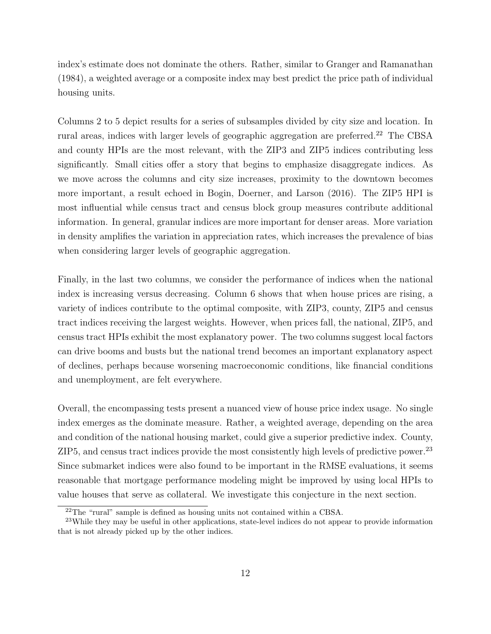index's estimate does not dominate the others. Rather, similar to [Granger and Ramanathan](#page-24-3) [\(1984\)](#page-24-3), a weighted average or a composite index may best predict the price path of individual housing units.

Columns 2 to 5 depict results for a series of subsamples divided by city size and location. In rural areas, indices with larger levels of geographic aggregation are preferred.<sup>[22](#page-1-0)</sup> The CBSA and county HPIs are the most relevant, with the ZIP3 and ZIP5 indices contributing less significantly. Small cities offer a story that begins to emphasize disaggregate indices. As we move across the columns and city size increases, proximity to the downtown becomes more important, a result echoed in Bogin, Doerner, and Larson (2016). The ZIP5 HPI is most influential while census tract and census block group measures contribute additional information. In general, granular indices are more important for denser areas. More variation in density amplifies the variation in appreciation rates, which increases the prevalence of bias when considering larger levels of geographic aggregation.

Finally, in the last two columns, we consider the performance of indices when the national index is increasing versus decreasing. Column 6 shows that when house prices are rising, a variety of indices contribute to the optimal composite, with ZIP3, county, ZIP5 and census tract indices receiving the largest weights. However, when prices fall, the national, ZIP5, and census tract HPIs exhibit the most explanatory power. The two columns suggest local factors can drive booms and busts but the national trend becomes an important explanatory aspect of declines, perhaps because worsening macroeconomic conditions, like financial conditions and unemployment, are felt everywhere.

Overall, the encompassing tests present a nuanced view of house price index usage. No single index emerges as the dominate measure. Rather, a weighted average, depending on the area and condition of the national housing market, could give a superior predictive index. County, ZIP5, and census tract indices provide the most consistently high levels of predictive power.[23](#page-1-0) Since submarket indices were also found to be important in the RMSE evaluations, it seems reasonable that mortgage performance modeling might be improved by using local HPIs to value houses that serve as collateral. We investigate this conjecture in the next section.

<sup>22</sup>The "rural" sample is defined as housing units not contained within a CBSA.

<sup>&</sup>lt;sup>23</sup>While they may be useful in other applications, state-level indices do not appear to provide information that is not already picked up by the other indices.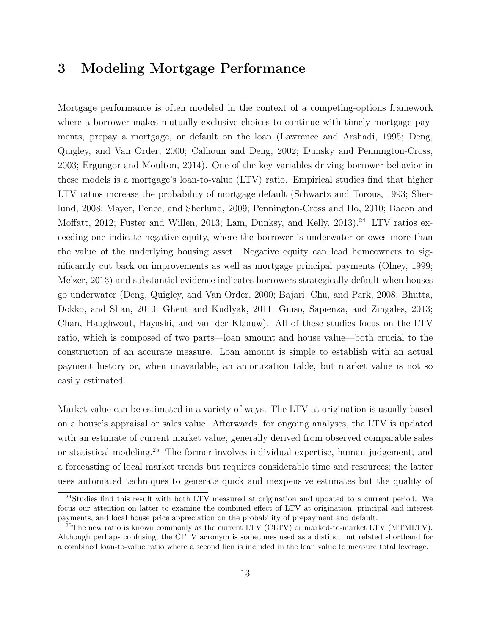### 3 Modeling Mortgage Performance

Mortgage performance is often modeled in the context of a competing-options framework where a borrower makes mutually exclusive choices to continue with timely mortgage payments, prepay a mortgage, or default on the loan (Lawrence and Arshadi, 1995; Deng, Quigley, and Van Order, 2000; Calhoun and Deng, 2002; Dunsky and Pennington-Cross, 2003; Ergungor and Moulton, 2014). One of the key variables driving borrower behavior in these models is a mortgage's loan-to-value (LTV) ratio. Empirical studies find that higher LTV ratios increase the probability of mortgage default (Schwartz and Torous, 1993; Sherlund, 2008; Mayer, Pence, and Sherlund, 2009; Pennington-Cross and Ho, 2010; Bacon and Moffatt, 2012; Fuster and Willen, 2013; Lam, Dunksy, and Kelly, 2013).<sup>[24](#page-1-0)</sup> LTV ratios exceeding one indicate negative equity, where the borrower is underwater or owes more than the value of the underlying housing asset. Negative equity can lead homeowners to significantly cut back on improvements as well as mortgage principal payments (Olney, 1999; Melzer, 2013) and substantial evidence indicates borrowers strategically default when houses go underwater (Deng, Quigley, and Van Order, 2000; Bajari, Chu, and Park, 2008; Bhutta, Dokko, and Shan, 2010; Ghent and Kudlyak, 2011; Guiso, Sapienza, and Zingales, 2013; Chan, Haughwout, Hayashi, and van der Klaauw). All of these studies focus on the LTV ratio, which is composed of two parts—loan amount and house value—both crucial to the construction of an accurate measure. Loan amount is simple to establish with an actual payment history or, when unavailable, an amortization table, but market value is not so easily estimated.

Market value can be estimated in a variety of ways. The LTV at origination is usually based on a house's appraisal or sales value. Afterwards, for ongoing analyses, the LTV is updated with an estimate of current market value, generally derived from observed comparable sales or statistical modeling.[25](#page-1-0) The former involves individual expertise, human judgement, and a forecasting of local market trends but requires considerable time and resources; the latter uses automated techniques to generate quick and inexpensive estimates but the quality of

<sup>&</sup>lt;sup>24</sup>Studies find this result with both LTV measured at origination and updated to a current period. We focus our attention on latter to examine the combined effect of LTV at origination, principal and interest payments, and local house price appreciation on the probability of prepayment and default.

 $^{25}$ The new ratio is known commonly as the current LTV (CLTV) or marked-to-market LTV (MTMLTV). Although perhaps confusing, the CLTV acronym is sometimes used as a distinct but related shorthand for a combined loan-to-value ratio where a second lien is included in the loan value to measure total leverage.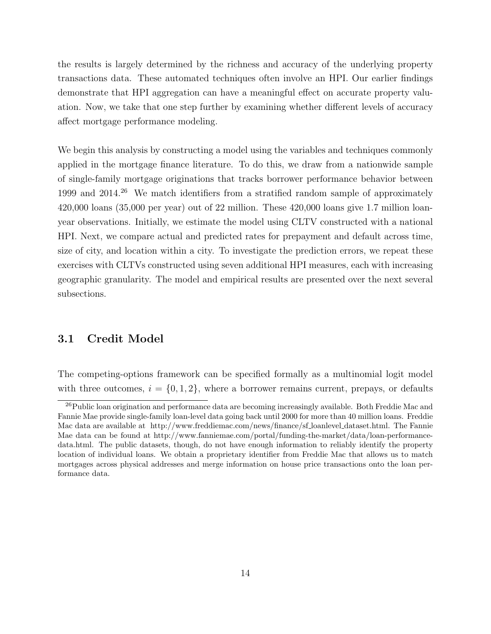the results is largely determined by the richness and accuracy of the underlying property transactions data. These automated techniques often involve an HPI. Our earlier findings demonstrate that HPI aggregation can have a meaningful effect on accurate property valuation. Now, we take that one step further by examining whether different levels of accuracy affect mortgage performance modeling.

We begin this analysis by constructing a model using the variables and techniques commonly applied in the mortgage finance literature. To do this, we draw from a nationwide sample of single-family mortgage originations that tracks borrower performance behavior between 1999 and 2014.[26](#page-1-0) We match identifiers from a stratified random sample of approximately 420,000 loans (35,000 per year) out of 22 million. These 420,000 loans give 1.7 million loanyear observations. Initially, we estimate the model using CLTV constructed with a national HPI. Next, we compare actual and predicted rates for prepayment and default across time, size of city, and location within a city. To investigate the prediction errors, we repeat these exercises with CLTVs constructed using seven additional HPI measures, each with increasing geographic granularity. The model and empirical results are presented over the next several subsections.

### 3.1 Credit Model

The competing-options framework can be specified formally as a multinomial logit model with three outcomes,  $i = \{0, 1, 2\}$ , where a borrower remains current, prepays, or defaults

<sup>&</sup>lt;sup>26</sup>Public loan origination and performance data are becoming increasingly available. Both Freddie Mac and Fannie Mae provide single-family loan-level data going back until 2000 for more than 40 million loans. Freddie Mac data are available at [http://www.freddiemac.com/news/finance/sf](http://www.freddiemac.com/news/finance/sf_loanlevel_dataset.html) loanlevel dataset.html. The Fannie Mae data can be found at [http://www.fanniemae.com/portal/funding-the-market/data/loan-performance](http://www.fanniemae.com/portal/funding-the-market/data/loan-performance-data.html)[data.html.](http://www.fanniemae.com/portal/funding-the-market/data/loan-performance-data.html) The public datasets, though, do not have enough information to reliably identify the property location of individual loans. We obtain a proprietary identifier from Freddie Mac that allows us to match mortgages across physical addresses and merge information on house price transactions onto the loan performance data.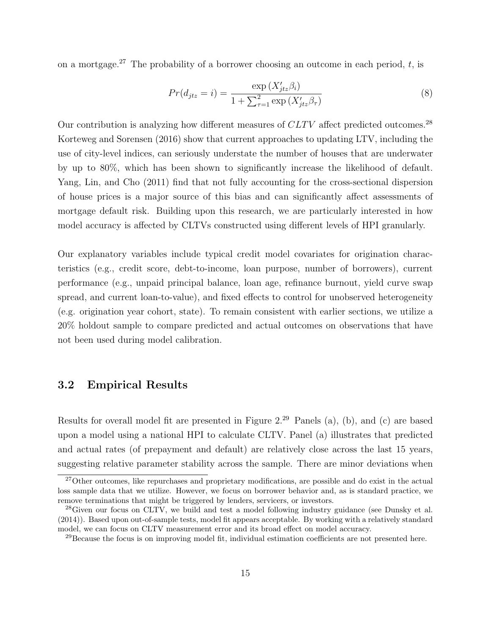on a mortgage.<sup>[27](#page-1-0)</sup> The probability of a borrower choosing an outcome in each period,  $t$ , is

$$
Pr(d_{jtz} = i) = \frac{\exp(X'_{jtz}\beta_i)}{1 + \sum_{\tau=1}^{2} \exp(X'_{jtz}\beta_{\tau})}
$$
(8)

Our contribution is analyzing how different measures of *CLTV* affect predicted outcomes.<sup>[28](#page-1-0)</sup> [Korteweg and Sorensen](#page-24-4) [\(2016\)](#page-24-4) show that current approaches to updating LTV, including the use of city-level indices, can seriously understate the number of houses that are underwater by up to 80%, which has been shown to significantly increase the likelihood of default. Yang, Lin, and Cho (2011) find that not fully accounting for the cross-sectional dispersion of house prices is a major source of this bias and can significantly a↵ect assessments of mortgage default risk. Building upon this research, we are particularly interested in how model accuracy is affected by CLTVs constructed using different levels of HPI granularly.

Our explanatory variables include typical credit model covariates for origination characteristics (e.g., credit score, debt-to-income, loan purpose, number of borrowers), current performance (e.g., unpaid principal balance, loan age, refinance burnout, yield curve swap spread, and current loan-to-value), and fixed effects to control for unobserved heterogeneity (e.g. origination year cohort, state). To remain consistent with earlier sections, we utilize a 20% holdout sample to compare predicted and actual outcomes on observations that have not been used during model calibration.

#### 3.2 Empirical Results

Results for overall model fit are presented in Figure [2.](#page-18-0)[29](#page-1-0) Panels (a), (b), and (c) are based upon a model using a national HPI to calculate CLTV. Panel (a) illustrates that predicted and actual rates (of prepayment and default) are relatively close across the last 15 years, suggesting relative parameter stability across the sample. There are minor deviations when

 $27$ Other outcomes, like repurchases and proprietary modifications, are possible and do exist in the actual loss sample data that we utilize. However, we focus on borrower behavior and, as is standard practice, we remove terminations that might be triggered by lenders, servicers, or investors.

<sup>&</sup>lt;sup>28</sup>Given our focus on CLTV, we build and test a model following industry guidance (see [Dunsky et al.](#page-23-5) [\(2014\)](#page-23-5)). Based upon out-of-sample tests, model fit appears acceptable. By working with a relatively standard model, we can focus on CLTV measurement error and its broad effect on model accuracy.

 $^{29}$ Because the focus is on improving model fit, individual estimation coefficients are not presented here.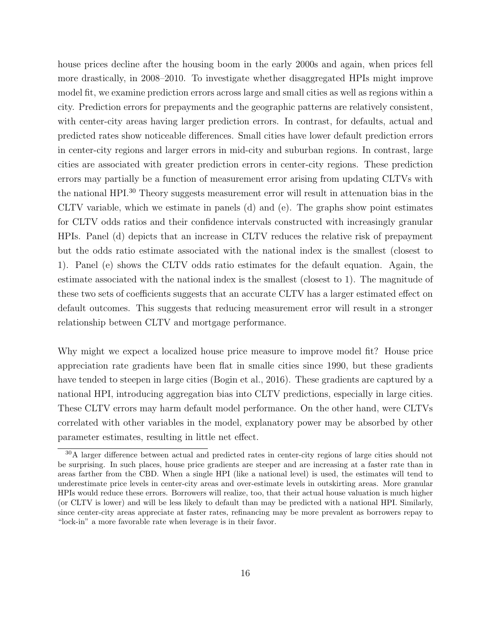house prices decline after the housing boom in the early 2000s and again, when prices fell more drastically, in 2008–2010. To investigate whether disaggregated HPIs might improve model fit, we examine prediction errors across large and small cities as well as regions within a city. Prediction errors for prepayments and the geographic patterns are relatively consistent, with center-city areas having larger prediction errors. In contrast, for defaults, actual and predicted rates show noticeable differences. Small cities have lower default prediction errors in center-city regions and larger errors in mid-city and suburban regions. In contrast, large cities are associated with greater prediction errors in center-city regions. These prediction errors may partially be a function of measurement error arising from updating CLTVs with the national HPI.[30](#page-1-0) Theory suggests measurement error will result in attenuation bias in the CLTV variable, which we estimate in panels (d) and (e). The graphs show point estimates for CLTV odds ratios and their confidence intervals constructed with increasingly granular HPIs. Panel (d) depicts that an increase in CLTV reduces the relative risk of prepayment but the odds ratio estimate associated with the national index is the smallest (closest to 1). Panel (e) shows the CLTV odds ratio estimates for the default equation. Again, the estimate associated with the national index is the smallest (closest to 1). The magnitude of these two sets of coefficients suggests that an accurate CLTV has a larger estimated effect on default outcomes. This suggests that reducing measurement error will result in a stronger relationship between CLTV and mortgage performance.

Why might we expect a localized house price measure to improve model fit? House price appreciation rate gradients have been flat in smalle cities since 1990, but these gradients have tended to steepen in large cities [\(Bogin et al., 2016\)](#page-23-6). These gradients are captured by a national HPI, introducing aggregation bias into CLTV predictions, especially in large cities. These CLTV errors may harm default model performance. On the other hand, were CLTVs correlated with other variables in the model, explanatory power may be absorbed by other parameter estimates, resulting in little net effect.

<sup>&</sup>lt;sup>30</sup>A larger difference between actual and predicted rates in center-city regions of large cities should not be surprising. In such places, house price gradients are steeper and are increasing at a faster rate than in areas farther from the CBD. When a single HPI (like a national level) is used, the estimates will tend to underestimate price levels in center-city areas and over-estimate levels in outskirting areas. More granular HPIs would reduce these errors. Borrowers will realize, too, that their actual house valuation is much higher (or CLTV is lower) and will be less likely to default than may be predicted with a national HPI. Similarly, since center-city areas appreciate at faster rates, refinancing may be more prevalent as borrowers repay to "lock-in" a more favorable rate when leverage is in their favor.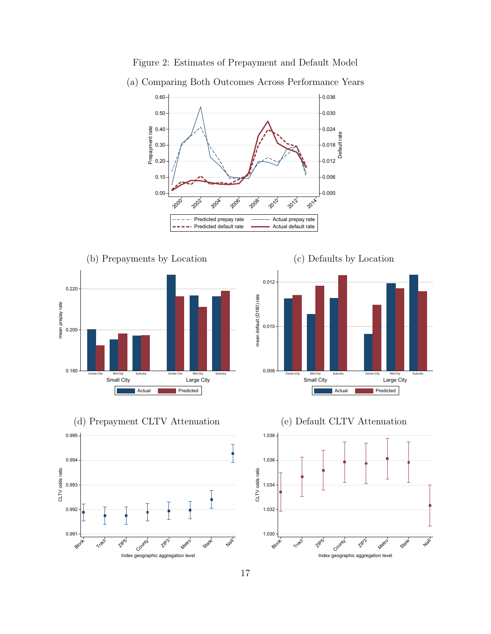

<span id="page-18-0"></span>Figure 2: Estimates of Prepayment and Default Model



(a) Comparing Both Outcomes Across Performance Years









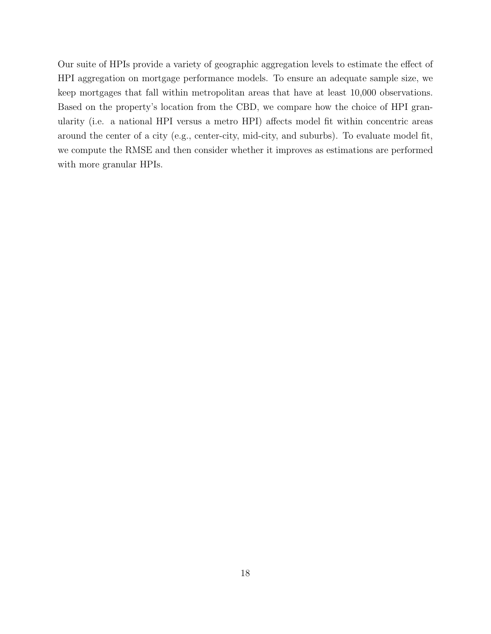Our suite of HPIs provide a variety of geographic aggregation levels to estimate the effect of HPI aggregation on mortgage performance models. To ensure an adequate sample size, we keep mortgages that fall within metropolitan areas that have at least 10,000 observations. Based on the property's location from the CBD, we compare how the choice of HPI granularity (i.e. a national HPI versus a metro HPI) affects model fit within concentric areas around the center of a city (e.g., center-city, mid-city, and suburbs). To evaluate model fit, we compute the RMSE and then consider whether it improves as estimations are performed with more granular HPIs.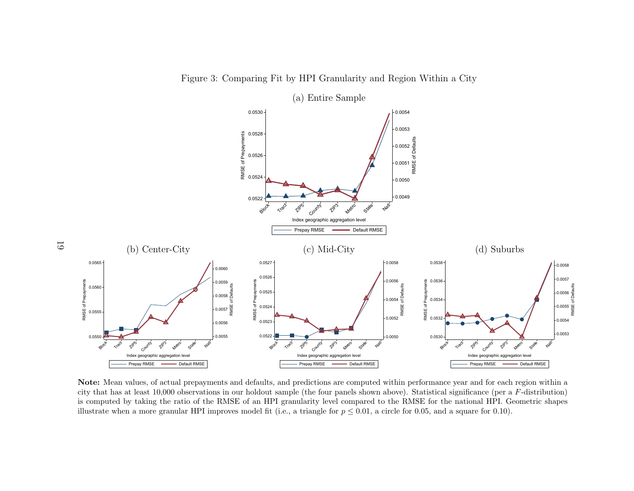<span id="page-20-0"></span>Figure 3: Comparing Fit by HPI Granularity and Region Within a City



Note: Mean values, of actual prepayments and defaults, and predictions are computed within performance year and for each region within a city that has at least 10,000 observations in our holdout sample (the four panels shown above). Statistical significance (per a *F*-distribution) is computed by taking the ratio of the RMSE of an HPI granularity level compared to the RMSE for the national HPI. Geometric shapes illustrate when a more granular HPI improves model fit (i.e., a triangle for  $p \leq 0.01$ , a circle for 0.05, and a square for 0.10).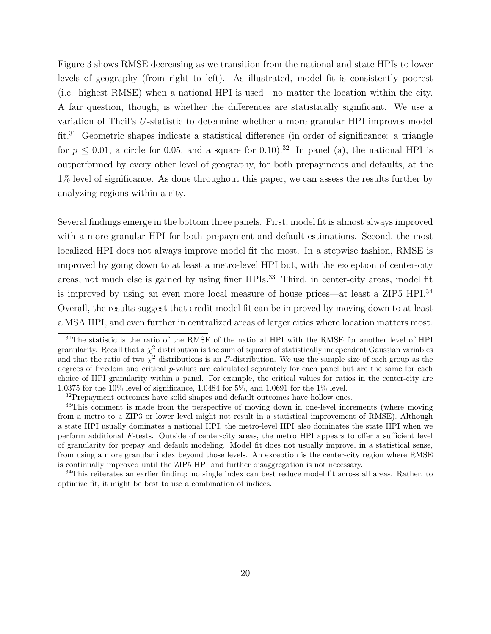Figure [3](#page-20-0) shows RMSE decreasing as we transition from the national and state HPIs to lower levels of geography (from right to left). As illustrated, model fit is consistently poorest (i.e. highest RMSE) when a national HPI is used—no matter the location within the city. A fair question, though, is whether the differences are statistically significant. We use a variation of Theil's *U*-statistic to determine whether a more granular HPI improves model  $fit.<sup>31</sup> Geometric shapes indicate a statistical difference (in order of significance: a triangle)$  $fit.<sup>31</sup> Geometric shapes indicate a statistical difference (in order of significance: a triangle)$  $fit.<sup>31</sup> Geometric shapes indicate a statistical difference (in order of significance: a triangle)$ for  $p \leq 0.01$ , a circle for 0.05, and a square for 0.10).<sup>[32](#page-1-0)</sup> In panel (a), the national HPI is outperformed by every other level of geography, for both prepayments and defaults, at the 1% level of significance. As done throughout this paper, we can assess the results further by analyzing regions within a city.

Several findings emerge in the bottom three panels. First, model fit is almost always improved with a more granular HPI for both prepayment and default estimations. Second, the most localized HPI does not always improve model fit the most. In a stepwise fashion, RMSE is improved by going down to at least a metro-level HPI but, with the exception of center-city areas, not much else is gained by using finer HPIs.<sup>[33](#page-1-0)</sup> Third, in center-city areas, model fit is improved by using an even more local measure of house prices—at least a ZIP5 HPI.[34](#page-1-0) Overall, the results suggest that credit model fit can be improved by moving down to at least a MSA HPI, and even further in centralized areas of larger cities where location matters most.

<sup>34</sup>This reiterates an earlier finding: no single index can best reduce model fit across all areas. Rather, to optimize fit, it might be best to use a combination of indices.

<sup>&</sup>lt;sup>31</sup>The statistic is the ratio of the RMSE of the national HPI with the RMSE for another level of HPI granularity. Recall that a  $\chi^2$  distribution is the sum of squares of statistically independent Gaussian variables and that the ratio of two  $\chi^2$  distributions is an *F*-distribution. We use the sample size of each group as the degrees of freedom and critical *p*-values are calculated separately for each panel but are the same for each choice of HPI granularity within a panel. For example, the critical values for ratios in the center-city are 1.0375 for the 10% level of significance, 1.0484 for 5%, and 1.0691 for the 1% level.

<sup>&</sup>lt;sup>32</sup>Prepayment outcomes have solid shapes and default outcomes have hollow ones.

<sup>&</sup>lt;sup>33</sup>This comment is made from the perspective of moving down in one-level increments (where moving from a metro to a ZIP3 or lower level might not result in a statistical improvement of RMSE). Although a state HPI usually dominates a national HPI, the metro-level HPI also dominates the state HPI when we perform additional *F*-tests. Outside of center-city areas, the metro HPI appears to offer a sufficient level of granularity for prepay and default modeling. Model fit does not usually improve, in a statistical sense, from using a more granular index beyond those levels. An exception is the center-city region where RMSE is continually improved until the ZIP5 HPI and further disaggregation is not necessary.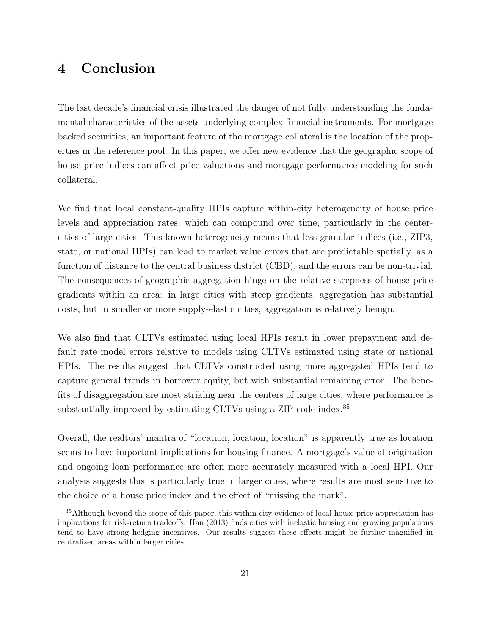## 4 Conclusion

The last decade's financial crisis illustrated the danger of not fully understanding the fundamental characteristics of the assets underlying complex financial instruments. For mortgage backed securities, an important feature of the mortgage collateral is the location of the properties in the reference pool. In this paper, we offer new evidence that the geographic scope of house price indices can affect price valuations and mortgage performance modeling for such collateral.

We find that local constant-quality HPIs capture within-city heterogeneity of house price levels and appreciation rates, which can compound over time, particularly in the centercities of large cities. This known heterogeneity means that less granular indices (i.e., ZIP3, state, or national HPIs) can lead to market value errors that are predictable spatially, as a function of distance to the central business district (CBD), and the errors can be non-trivial. The consequences of geographic aggregation hinge on the relative steepness of house price gradients within an area: in large cities with steep gradients, aggregation has substantial costs, but in smaller or more supply-elastic cities, aggregation is relatively benign.

We also find that CLTVs estimated using local HPIs result in lower prepayment and default rate model errors relative to models using CLTVs estimated using state or national HPIs. The results suggest that CLTVs constructed using more aggregated HPIs tend to capture general trends in borrower equity, but with substantial remaining error. The benefits of disaggregation are most striking near the centers of large cities, where performance is substantially improved by estimating CLTVs using a ZIP code index.<sup>[35](#page-1-0)</sup>

Overall, the realtors' mantra of "location, location, location" is apparently true as location seems to have important implications for housing finance. A mortgage's value at origination and ongoing loan performance are often more accurately measured with a local HPI. Our analysis suggests this is particularly true in larger cities, where results are most sensitive to the choice of a house price index and the effect of "missing the mark".

<sup>&</sup>lt;sup>35</sup>Although beyond the scope of this paper, this within-city evidence of local house price appreciation has implications for risk-return tradeoffs. [Han](#page-24-5) [\(2013\)](#page-24-5) finds cities with inelastic housing and growing populations tend to have strong hedging incentives. Our results suggest these effects might be further magnified in centralized areas within larger cities.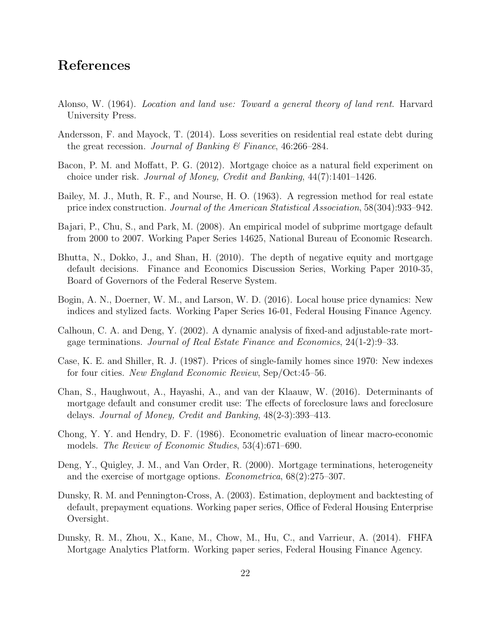### References

- <span id="page-23-1"></span>Alonso, W. (1964). *Location and land use: Toward a general theory of land rent*. Harvard University Press.
- <span id="page-23-3"></span>Andersson, F. and Mayock, T. (2014). Loss severities on residential real estate debt during the great recession. *Journal of Banking & Finance*, 46:266–284.
- Bacon, P. M. and Moffatt, P. G. (2012). Mortgage choice as a natural field experiment on choice under risk. *Journal of Money, Credit and Banking*, 44(7):1401–1426.
- <span id="page-23-0"></span>Bailey, M. J., Muth, R. F., and Nourse, H. O. (1963). A regression method for real estate price index construction. *Journal of the American Statistical Association*, 58(304):933–942.
- Bajari, P., Chu, S., and Park, M. (2008). An empirical model of subprime mortgage default from 2000 to 2007. Working Paper Series 14625, National Bureau of Economic Research.
- Bhutta, N., Dokko, J., and Shan, H. (2010). The depth of negative equity and mortgage default decisions. Finance and Economics Discussion Series, Working Paper 2010-35, Board of Governors of the Federal Reserve System.
- <span id="page-23-6"></span>Bogin, A. N., Doerner, W. M., and Larson, W. D. (2016). Local house price dynamics: New indices and stylized facts. Working Paper Series 16-01, Federal Housing Finance Agency.
- Calhoun, C. A. and Deng, Y. (2002). A dynamic analysis of fixed-and adjustable-rate mortgage terminations. *Journal of Real Estate Finance and Economics*, 24(1-2):9–33.
- <span id="page-23-2"></span>Case, K. E. and Shiller, R. J. (1987). Prices of single-family homes since 1970: New indexes for four cities. *New England Economic Review*, Sep/Oct:45–56.
- Chan, S., Haughwout, A., Hayashi, A., and van der Klaauw, W. (2016). Determinants of mortgage default and consumer credit use: The effects of foreclosure laws and foreclosure delays. *Journal of Money, Credit and Banking*, 48(2-3):393–413.
- <span id="page-23-4"></span>Chong, Y. Y. and Hendry, D. F. (1986). Econometric evaluation of linear macro-economic models. *The Review of Economic Studies*, 53(4):671–690.
- Deng, Y., Quigley, J. M., and Van Order, R. (2000). Mortgage terminations, heterogeneity and the exercise of mortgage options. *Econometrica*, 68(2):275–307.
- Dunsky, R. M. and Pennington-Cross, A. (2003). Estimation, deployment and backtesting of default, prepayment equations. Working paper series, Office of Federal Housing Enterprise Oversight.
- <span id="page-23-5"></span>Dunsky, R. M., Zhou, X., Kane, M., Chow, M., Hu, C., and Varrieur, A. (2014). FHFA Mortgage Analytics Platform. Working paper series, Federal Housing Finance Agency.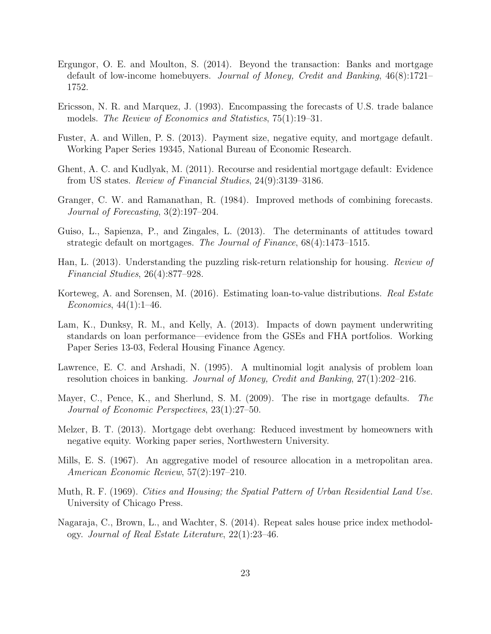- Ergungor, O. E. and Moulton, S. (2014). Beyond the transaction: Banks and mortgage default of low-income homebuyers. *Journal of Money, Credit and Banking*, 46(8):1721– 1752.
- <span id="page-24-2"></span>Ericsson, N. R. and Marquez, J. (1993). Encompassing the forecasts of U.S. trade balance models. *The Review of Economics and Statistics*, 75(1):19–31.
- Fuster, A. and Willen, P. S. (2013). Payment size, negative equity, and mortgage default. Working Paper Series 19345, National Bureau of Economic Research.
- Ghent, A. C. and Kudlyak, M. (2011). Recourse and residential mortgage default: Evidence from US states. *Review of Financial Studies*, 24(9):3139–3186.
- <span id="page-24-3"></span>Granger, C. W. and Ramanathan, R. (1984). Improved methods of combining forecasts. *Journal of Forecasting*, 3(2):197–204.
- Guiso, L., Sapienza, P., and Zingales, L. (2013). The determinants of attitudes toward strategic default on mortgages. *The Journal of Finance*, 68(4):1473–1515.
- <span id="page-24-5"></span>Han, L. (2013). Understanding the puzzling risk-return relationship for housing. *Review of Financial Studies*, 26(4):877–928.
- <span id="page-24-4"></span>Korteweg, A. and Sorensen, M. (2016). Estimating loan-to-value distributions. *Real Estate Economics*, 44(1):1–46.
- Lam, K., Dunksy, R. M., and Kelly, A. (2013). Impacts of down payment underwriting standards on loan performance—evidence from the GSEs and FHA portfolios. Working Paper Series 13-03, Federal Housing Finance Agency.
- Lawrence, E. C. and Arshadi, N. (1995). A multinomial logit analysis of problem loan resolution choices in banking. *Journal of Money, Credit and Banking*, 27(1):202–216.
- Mayer, C., Pence, K., and Sherlund, S. M. (2009). The rise in mortgage defaults. *The Journal of Economic Perspectives*, 23(1):27–50.
- Melzer, B. T. (2013). Mortgage debt overhang: Reduced investment by homeowners with negative equity. Working paper series, Northwestern University.
- <span id="page-24-0"></span>Mills, E. S. (1967). An aggregative model of resource allocation in a metropolitan area. *American Economic Review*, 57(2):197–210.
- <span id="page-24-1"></span>Muth, R. F. (1969). *Cities and Housing; the Spatial Pattern of Urban Residential Land Use.* University of Chicago Press.
- Nagaraja, C., Brown, L., and Wachter, S. (2014). Repeat sales house price index methodology. *Journal of Real Estate Literature*, 22(1):23–46.